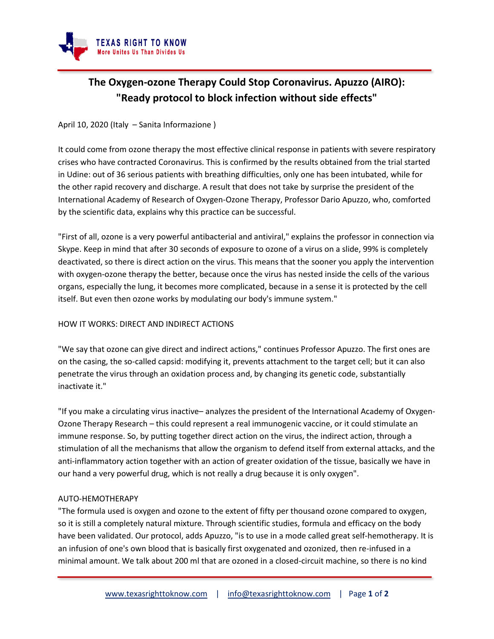

# **The Oxygen-ozone Therapy Could Stop Coronavirus. Apuzzo (AIRO): "Ready protocol to block infection without side effects"**

### April 10, 2020 (Italy – Sanita Informazione )

It could come from ozone therapy the most effective clinical response in patients with severe respiratory crises who have contracted Coronavirus. This is confirmed by the results obtained from the trial started in Udine: out of 36 serious patients with breathing difficulties, only one has been intubated, while for the other rapid recovery and discharge. A result that does not take by surprise the president of the International Academy of Research of Oxygen-Ozone Therapy, Professor Dario Apuzzo, who, comforted by the scientific data, explains why this practice can be successful.

"First of all, ozone is a very powerful antibacterial and antiviral," explains the professor in connection via Skype. Keep in mind that after 30 seconds of exposure to ozone of a virus on a slide, 99% is completely deactivated, so there is direct action on the virus. This means that the sooner you apply the intervention with oxygen-ozone therapy the better, because once the virus has nested inside the cells of the various organs, especially the lung, it becomes more complicated, because in a sense it is protected by the cell itself. But even then ozone works by modulating our body's immune system."

#### HOW IT WORKS: DIRECT AND INDIRECT ACTIONS

"We say that ozone can give direct and indirect actions," continues Professor Apuzzo. The first ones are on the casing, the so-called capsid: modifying it, prevents attachment to the target cell; but it can also penetrate the virus through an oxidation process and, by changing its genetic code, substantially inactivate it."

"If you make a circulating virus inactive– analyzes the president of the International Academy of Oxygen-Ozone Therapy Research – this could represent a real immunogenic vaccine, or it could stimulate an immune response. So, by putting together direct action on the virus, the indirect action, through a stimulation of all the mechanisms that allow the organism to defend itself from external attacks, and the anti-inflammatory action together with an action of greater oxidation of the tissue, basically we have in our hand a very powerful drug, which is not really a drug because it is only oxygen".

#### AUTO-HEMOTHERAPY

"The formula used is oxygen and ozone to the extent of fifty per thousand ozone compared to oxygen, so it is still a completely natural mixture. Through scientific studies, formula and efficacy on the body have been validated. Our protocol, adds Apuzzo, "is to use in a mode called great self-hemotherapy. It is an infusion of one's own blood that is basically first oxygenated and ozonized, then re-infused in a minimal amount. We talk about 200 ml that are ozoned in a closed-circuit machine, so there is no kind